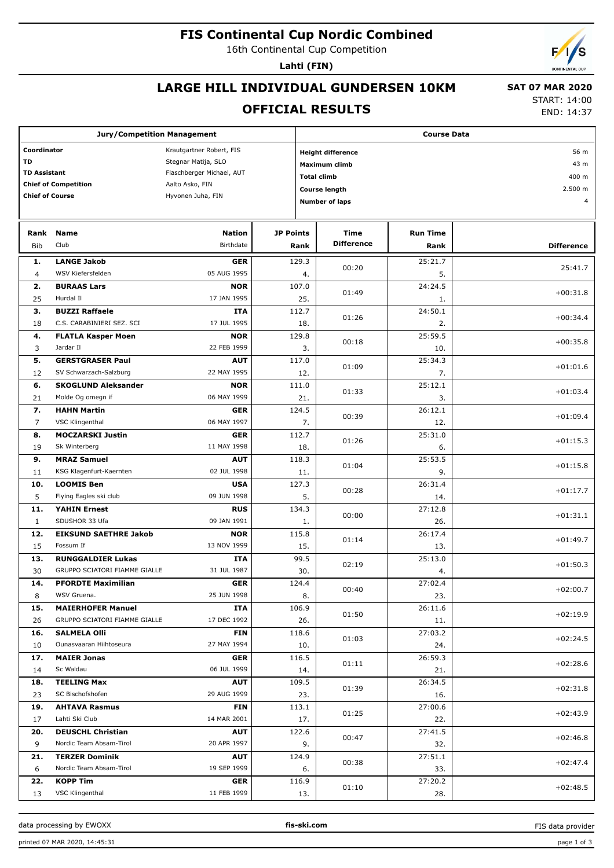# **FIS Continental Cup Nordic Combined**

16th Continental Cup Competition

**Lahti (FIN)**

## **LARGE HILL INDIVIDUAL GUNDERSEN 10KM**

#### **SAT 07 MAR 2020**

#### **OFFICIAL RESULTS**

START: 14:00 END: 14:37

| <b>Jury/Competition Management</b>      |                               |                                   |               | <b>Course Data</b>               |                  |                   |  |  |  |  |
|-----------------------------------------|-------------------------------|-----------------------------------|---------------|----------------------------------|------------------|-------------------|--|--|--|--|
| Coordinator<br>Krautgartner Robert, FIS |                               |                                   |               | <b>Height difference</b><br>56 m |                  |                   |  |  |  |  |
| <b>TD</b>                               |                               | Stegnar Matija, SLO               | Maximum climb |                                  |                  |                   |  |  |  |  |
| <b>TD Assistant</b>                     |                               | Flaschberger Michael, AUT         |               |                                  |                  | 43 m              |  |  |  |  |
| <b>Chief of Competition</b>             |                               | Aalto Asko, FIN                   |               | <b>Total climb</b>               | 400 m<br>2.500 m |                   |  |  |  |  |
| <b>Chief of Course</b>                  |                               | Hyvonen Juha, FIN                 |               | <b>Course length</b>             |                  |                   |  |  |  |  |
|                                         |                               |                                   |               | <b>Number of laps</b>            |                  |                   |  |  |  |  |
|                                         |                               |                                   |               |                                  |                  |                   |  |  |  |  |
| Rank                                    | <b>Name</b>                   | <b>Nation</b><br><b>JP Points</b> |               | Time                             | <b>Run Time</b>  |                   |  |  |  |  |
| <b>Bib</b>                              | Club                          | Birthdate                         | Rank          | <b>Difference</b>                | Rank             | <b>Difference</b> |  |  |  |  |
| 1.                                      | <b>LANGE Jakob</b>            | <b>GER</b>                        | 129.3         |                                  | 25:21.7          |                   |  |  |  |  |
| $\overline{4}$                          | WSV Kiefersfelden             | 05 AUG 1995                       | 4.            | 00:20                            | 5.               | 25:41.7           |  |  |  |  |
| 2.                                      | <b>BURAAS Lars</b>            | <b>NOR</b>                        | 107.0         | 01:49                            | 24:24.5          | $+00:31.8$        |  |  |  |  |
| 25                                      | Hurdal II                     | 17 JAN 1995                       | 25.           |                                  | 1.               |                   |  |  |  |  |
| 3.                                      | <b>BUZZI Raffaele</b>         | <b>ITA</b>                        | 112.7         | 01:26                            | 24:50.1          | $+00:34.4$        |  |  |  |  |
| 18                                      | C.S. CARABINIERI SEZ. SCI     | 17 JUL 1995                       | 18.           |                                  | 2.               |                   |  |  |  |  |
| 4.                                      | <b>FLATLA Kasper Moen</b>     | <b>NOR</b>                        | 129.8         | 00:18                            | 25:59.5          | $+00:35.8$        |  |  |  |  |
| 3                                       | Jardar II                     | 22 FEB 1999                       | 3.            |                                  | 10.              |                   |  |  |  |  |
| 5.                                      | <b>GERSTGRASER Paul</b>       | <b>AUT</b>                        | 117.0         | 01:09                            | 25:34.3          | $+01:01.6$        |  |  |  |  |
| 12                                      | SV Schwarzach-Salzburg        | 22 MAY 1995                       | 12.           |                                  | 7.               |                   |  |  |  |  |
| 6.                                      | <b>SKOGLUND Aleksander</b>    | <b>NOR</b>                        | 111.0         | 01:33                            | 25:12.1          | $+01:03.4$        |  |  |  |  |
| 21                                      | Molde Og omegn if             | 06 MAY 1999                       | 21.           |                                  | 3.               |                   |  |  |  |  |
| 7.                                      | <b>HAHN Martin</b>            | <b>GER</b>                        | 124.5         | 00:39                            | 26:12.1          | $+01:09.4$        |  |  |  |  |
| 7                                       | <b>VSC Klingenthal</b>        | 06 MAY 1997                       | 7.            |                                  | 12.              |                   |  |  |  |  |
| 8.                                      | <b>MOCZARSKI Justin</b>       | <b>GER</b>                        | 112.7         | 01:26                            | 25:31.0          | $+01:15.3$        |  |  |  |  |
| 19                                      | Sk Winterberg                 | 11 MAY 1998                       | 18.           |                                  | 6.               |                   |  |  |  |  |
| 9.                                      | <b>MRAZ Samuel</b>            | <b>AUT</b>                        | 118.3         | 01:04                            | 25:53.5          | $+01:15.8$        |  |  |  |  |
| 11                                      | KSG Klagenfurt-Kaernten       | 02 JUL 1998                       | 11.           |                                  | 9.               |                   |  |  |  |  |
| 10.                                     | <b>LOOMIS Ben</b>             | <b>USA</b>                        | 127.3         | 00:28                            | 26:31.4          | $+01:17.7$        |  |  |  |  |
| 5                                       | Flying Eagles ski club        | 09 JUN 1998                       | 5.            |                                  | 14.              |                   |  |  |  |  |
| 11.                                     | <b>YAHIN Ernest</b>           | <b>RUS</b>                        | 134.3         | 00:00                            | 27:12.8          | $+01:31.1$        |  |  |  |  |
| $\mathbf{1}$                            | SDUSHOR 33 Ufa                | 09 JAN 1991                       | 1.            |                                  | 26.              |                   |  |  |  |  |
| 12.                                     | <b>EIKSUND SAETHRE Jakob</b>  | <b>NOR</b>                        | 115.8         | 01:14                            | 26:17.4          | $+01:49.7$        |  |  |  |  |
| 15                                      | Fossum If                     | 13 NOV 1999                       | 15.           |                                  | 13.              |                   |  |  |  |  |
| 13.                                     | <b>RUNGGALDIER Lukas</b>      | ITA                               | 99.5          | 02:19                            | 25:13.0          | $+01:50.3$        |  |  |  |  |
| 30                                      | GRUPPO SCIATORI FIAMME GIALLE | 31 JUL 1987                       | 30.           |                                  | 4.               |                   |  |  |  |  |
| 14.                                     | <b>PFORDTE Maximilian</b>     | <b>GER</b>                        | 124.4         | 00:40                            | 27:02.4          | $+02:00.7$        |  |  |  |  |
| 8                                       | WSV Gruena.                   | 25 JUN 1998                       | 8.            |                                  | 23.              |                   |  |  |  |  |
| 15.                                     | <b>MAIERHOFER Manuel</b>      | ITA                               | 106.9         | 01:50                            | 26:11.6          | $+02:19.9$        |  |  |  |  |
| 26                                      | GRUPPO SCIATORI FIAMME GIALLE | 17 DEC 1992                       | 26.           |                                  | 11.              |                   |  |  |  |  |
| 16.                                     | <b>SALMELA Olli</b>           | <b>FIN</b>                        | 118.6         | 01:03                            | 27:03.2          | $+02:24.5$        |  |  |  |  |
| 10                                      | Ounasvaaran Hiihtoseura       | 27 MAY 1994                       | 10.           |                                  | 24.              |                   |  |  |  |  |
| 17.                                     | <b>MAIER Jonas</b>            | <b>GER</b>                        | 116.5         | 01:11                            | 26:59.3          | $+02:28.6$        |  |  |  |  |
| 14                                      | Sc Waldau                     | 06 JUL 1999                       | 14.           |                                  | 21.              |                   |  |  |  |  |
| 18.                                     | <b>TEELING Max</b>            | <b>AUT</b>                        | 109.5         | 01:39                            | 26:34.5          | $+02:31.8$        |  |  |  |  |
| 23                                      | SC Bischofshofen              | 29 AUG 1999                       | 23.           |                                  | 16.              |                   |  |  |  |  |
| 19.                                     | <b>AHTAVA Rasmus</b>          | FIN                               | 113.1         | 01:25                            | 27:00.6          | $+02:43.9$        |  |  |  |  |
| 17                                      | Lahti Ski Club                | 14 MAR 2001                       | 17.           |                                  | 22.              |                   |  |  |  |  |
| 20.                                     | <b>DEUSCHL Christian</b>      | <b>AUT</b>                        | 122.6         | 00:47                            | 27:41.5          | $+02:46.8$        |  |  |  |  |
| 9                                       | Nordic Team Absam-Tirol       | 20 APR 1997                       | 9.            |                                  | 32.              |                   |  |  |  |  |
| 21.                                     | <b>TERZER Dominik</b>         | <b>AUT</b>                        | 124.9         | 00:38                            | 27:51.1          | $+02:47.4$        |  |  |  |  |
| 6                                       | Nordic Team Absam-Tirol       | 19 SEP 1999                       | 6.            |                                  | 33.              |                   |  |  |  |  |
| 22.                                     | <b>KOPP Tim</b>               | <b>GER</b>                        | 116.9         | 01:10                            | 27:20.2          | $+02:48.5$        |  |  |  |  |
| 13                                      | VSC Klingenthal               | 11 FEB 1999                       | 13.           |                                  | 28.              |                   |  |  |  |  |

data processing by EWOXX **fis-ski.com**

FIS data provider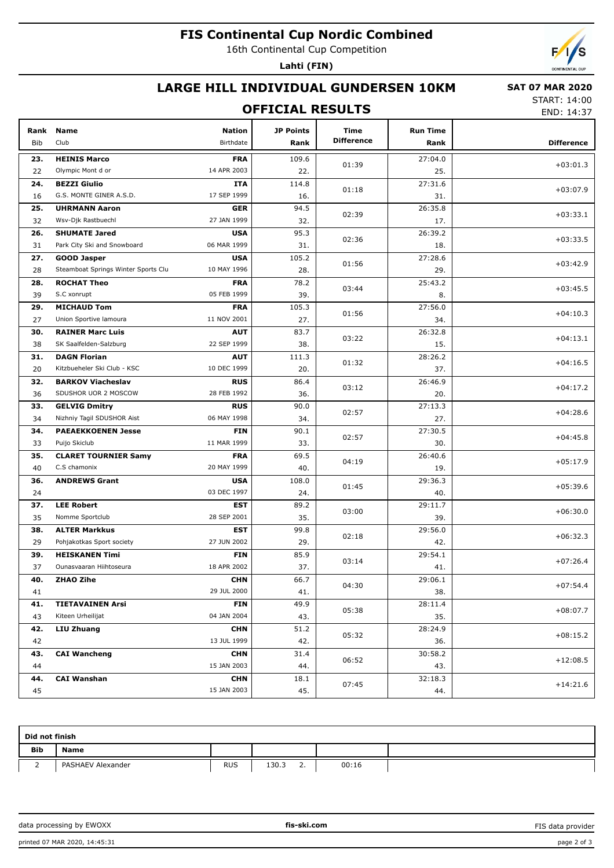# **FIS Continental Cup Nordic Combined**

16th Continental Cup Competition

**Lahti (FIN)**



#### **LARGE HILL INDIVIDUAL GUNDERSEN 10KM**

#### **OFFICIAL RESULTS**

 **SAT 07 MAR 2020** START: 14:00

END: 14:37

| Rank | <b>Name</b>                         | <b>Nation</b> | <b>JP Points</b> | Time<br><b>Difference</b> | <b>Run Time</b> |                   |
|------|-------------------------------------|---------------|------------------|---------------------------|-----------------|-------------------|
| Bib  | Club                                | Birthdate     | Rank             |                           | Rank            | <b>Difference</b> |
| 23.  | <b>HEINIS Marco</b>                 | <b>FRA</b>    | 109.6            | 01:39                     | 27:04.0         | $+03:01.3$        |
| 22   | Olympic Mont d or                   | 14 APR 2003   | 22.              |                           | 25.             |                   |
| 24.  | <b>BEZZI Giulio</b>                 | ITA           | 114.8            | 01:18                     | 27:31.6         | $+03:07.9$        |
| 16   | G.S. MONTE GINER A.S.D.             | 17 SEP 1999   | 16.              |                           | 31.             |                   |
| 25.  | <b>UHRMANN Aaron</b>                | <b>GER</b>    | 94.5             | 02:39                     | 26:35.8         | $+03:33.1$        |
| 32   | Wsv-Djk Rastbuechl                  | 27 JAN 1999   | 32.              |                           | 17.             |                   |
| 26.  | <b>SHUMATE Jared</b>                | <b>USA</b>    | 95.3             | 02:36                     | 26:39.2         | $+03:33.5$        |
| 31   | Park City Ski and Snowboard         | 06 MAR 1999   | 31.              |                           | 18.             |                   |
| 27.  | <b>GOOD Jasper</b>                  | <b>USA</b>    | 105.2            | 01:56                     | 27:28.6         | $+03:42.9$        |
| 28   | Steamboat Springs Winter Sports Clu | 10 MAY 1996   | 28.              |                           | 29.             |                   |
| 28.  | <b>ROCHAT Theo</b>                  | <b>FRA</b>    | 78.2             | 03:44                     | 25:43.2         | $+03:45.5$        |
| 39   | S.C xonrupt                         | 05 FEB 1999   | 39.              |                           | 8.              |                   |
| 29.  | <b>MICHAUD Tom</b>                  | <b>FRA</b>    | 105.3            | 01:56                     | 27:56.0         | $+04:10.3$        |
| 27   | Union Sportive lamoura              | 11 NOV 2001   | 27.              |                           | 34.             |                   |
| 30.  | <b>RAINER Marc Luis</b>             | <b>AUT</b>    | 83.7             | 03:22                     | 26:32.8         | $+04:13.1$        |
| 38   | SK Saalfelden-Salzburg              | 22 SEP 1999   | 38.              |                           | 15.             |                   |
| 31.  | <b>DAGN Florian</b>                 | <b>AUT</b>    | 111.3            | 01:32                     | 28:26.2         | $+04:16.5$        |
| 20   | Kitzbueheler Ski Club - KSC         | 10 DEC 1999   | 20.              |                           | 37.             |                   |
| 32.  | <b>BARKOV Viacheslav</b>            | <b>RUS</b>    | 86.4             | 03:12                     | 26:46.9         | $+04:17.2$        |
| 36   | SDUSHOR UOR 2 MOSCOW                | 28 FEB 1992   | 36.              |                           | 20.             |                   |
| 33.  | <b>GELVIG Dmitry</b>                | <b>RUS</b>    | 90.0             | 02:57                     | 27:13.3         | $+04:28.6$        |
| 34   | Nizhniy Tagil SDUSHOR Aist          | 06 MAY 1998   | 34.              |                           | 27.             |                   |
| 34.  | <b>PAEAEKKOENEN Jesse</b>           | <b>FIN</b>    | 90.1             | 02:57                     | 27:30.5         | $+04:45.8$        |
| 33   | Puijo Skiclub                       | 11 MAR 1999   | 33.              |                           | 30.             |                   |
| 35.  | <b>CLARET TOURNIER Samy</b>         | <b>FRA</b>    | 69.5             | 04:19                     | 26:40.6         | $+05:17.9$        |
| 40   | C.S chamonix                        | 20 MAY 1999   | 40.              |                           | 19.             |                   |
| 36.  | <b>ANDREWS Grant</b>                | <b>USA</b>    | 108.0            | 01:45                     | 29:36.3         | $+05:39.6$        |
| 24   |                                     | 03 DEC 1997   | 24.              |                           | 40.             |                   |
| 37.  | <b>LEE Robert</b>                   | <b>EST</b>    | 89.2             | 03:00                     | 29:11.7         | $+06:30.0$        |
| 35   | Nomme Sportclub                     | 28 SEP 2001   | 35.              |                           | 39.             |                   |
| 38.  | <b>ALTER Markkus</b>                | <b>EST</b>    | 99.8             | 02:18                     | 29:56.0         | $+06:32.3$        |
| 29   | Pohjakotkas Sport society           | 27 JUN 2002   | 29.              |                           | 42.             |                   |
| 39.  | <b>HEISKANEN Timi</b>               | <b>FIN</b>    | 85.9             | 03:14                     | 29:54.1         | $+07:26.4$        |
| 37   | Ounasvaaran Hiihtoseura             | 18 APR 2002   | 37.              |                           | 41.             |                   |
| 40.  | ZHAO Zihe                           | <b>CHN</b>    | 66.7             | 04:30                     | 29:06.1         | $+07:54.4$        |
| 41   |                                     | 29 JUL 2000   | 41.              |                           | 38.             |                   |
| 41.  | <b>TIETAVAINEN Arsi</b>             | <b>FIN</b>    | 49.9             | 05:38                     | 28:11.4         | $+08:07.7$        |
| 43   | Kiteen Urheilijat                   | 04 JAN 2004   | 43.              |                           | 35.             |                   |
| 42.  | LIU Zhuang                          | <b>CHN</b>    | 51.2             | 05:32                     | 28:24.9         | $+08:15.2$        |
| 42   |                                     | 13 JUL 1999   | 42.              |                           | 36.             |                   |
| 43.  | <b>CAI Wancheng</b>                 | <b>CHN</b>    | 31.4             | 06:52                     | 30:58.2         | $+12:08.5$        |
| 44   |                                     | 15 JAN 2003   | 44.              |                           | 43.             |                   |
| 44.  | <b>CAI Wanshan</b>                  | <b>CHN</b>    | 18.1             |                           | 32:18.3         | $+14:21.6$        |
| 45   |                                     | 15 JAN 2003   | 45.              | 07:45                     | 44.             |                   |

| Did not finish |                   |            |                   |  |       |  |  |  |
|----------------|-------------------|------------|-------------------|--|-------|--|--|--|
| <b>Bib</b>     | <b>Name</b>       |            |                   |  |       |  |  |  |
| <u>.</u>       | PASHAEV Alexander | <b>RUS</b> | 130.3<br><u>.</u> |  | 00:16 |  |  |  |

data processing by EWOXX **fis-ski.com**